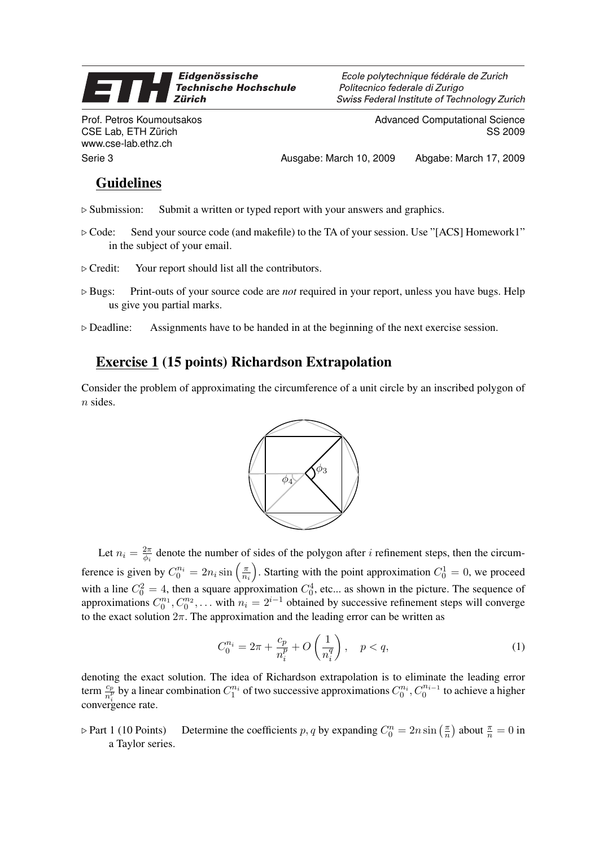#### Eidgenössische **Technische Hochschule Zürich**

Prof. Petros Koumoutsakos CSE Lab, ETH Zürich www.cse-lab.ethz.ch

Ecole polytechnique fédérale de Zurich Politecnico federale di Zurigo Swiss Federal Institute of Technology Zurich

> Advanced Computational Science SS 2009

Serie 3 Ausgabe: March 10, 2009 Abgabe: March 17, 2009

## **Guidelines**

- $\triangleright$  Submission: Submit a written or typed report with your answers and graphics.
- $\triangleright$  Code: Send your source code (and makefile) to the TA of your session. Use "[ACS] Homework1" in the subject of your email.
- $\triangleright$  Credit: Your report should list all the contributors.
- . Bugs: Print-outs of your source code are *not* required in your report, unless you have bugs. Help us give you partial marks.
- $\triangleright$  Deadline: Assignments have to be handed in at the beginning of the next exercise session.

# Exercise 1 (15 points) Richardson Extrapolation

Consider the problem of approximating the circumference of a unit circle by an inscribed polygon of n sides.



Let  $n_i = \frac{2\pi}{\phi_i}$  $\frac{2\pi}{\phi_i}$  denote the number of sides of the polygon after *i* refinement steps, then the circumference is given by  $C_0^{n_i} = 2n_i \sin\left(\frac{\pi}{n_i}\right)$  $\overline{n_i}$ ). Starting with the point approximation  $C_0^1 = 0$ , we proceed with a line  $C_0^2 = 4$ , then a square approximation  $C_0^4$ , etc... as shown in the picture. The sequence of approximations  $C_0^{n_1}$ ,  $C_0^{n_2}$ , ... with  $n_i = 2^{i-1}$  obtained by successive refinement steps will converge to the exact solution  $2\pi$ . The approximation and the leading error can be written as

$$
C_0^{n_i} = 2\pi + \frac{c_p}{n_i^p} + O\left(\frac{1}{n_i^q}\right), \quad p < q,\tag{1}
$$

denoting the exact solution. The idea of Richardson extrapolation is to eliminate the leading error term  $\frac{c_p}{n_i^p}$  by a linear combination  $C_1^{n_i}$  of two successive approximations  $C_0^{n_i}$ ,  $C_0^{n_{i-1}}$  to achieve a higher convergence rate.

 $\triangleright$  Part 1 (10 Points) Determine the coefficients p, q by expanding  $C_0^n = 2n \sin \left( \frac{\pi}{n} \right)$  $\frac{\pi}{n}$ ) about  $\frac{\pi}{n} = 0$  in a Taylor series.